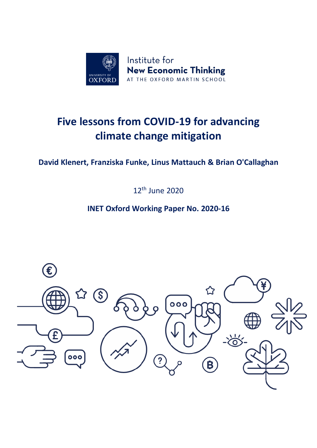

# **Five lessons from COVID-19 for advancing climate change mitigation**

# **David Klenert, Franziska Funke, Linus Mattauch & Brian O'Callaghan**

12th June 2020

# **INET Oxford Working Paper No. 2020-16**

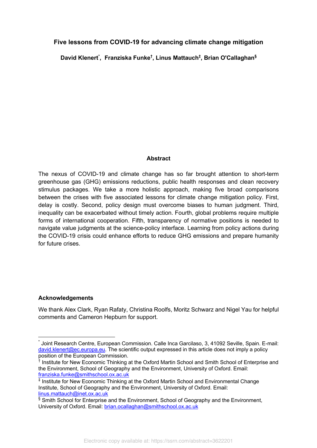# **Five lessons from COVID-19 for advancing climate change mitigation**

**David Klenert\* , Franziska Funke† , Linus Mattauch‡ , Brian O'Callaghan§**

#### **Abstract**

The nexus of COVID-19 and climate change has so far brought attention to short-term greenhouse gas (GHG) emissions reductions, public health responses and clean recovery stimulus packages. We take a more holistic approach, making five broad comparisons between the crises with five associated lessons for climate change mitigation policy. First, delay is costly. Second, policy design must overcome biases to human judgment. Third, inequality can be exacerbated without timely action. Fourth, global problems require multiple forms of international cooperation. Fifth, transparency of normative positions is needed to navigate value judgments at the science-policy interface. Learning from policy actions during the COVID-19 crisis could enhance efforts to reduce GHG emissions and prepare humanity for future crises.

# **Acknowledgements**

We thank Alex Clark, Ryan Rafaty, Christina Roolfs, Moritz Schwarz and Nigel Yau for helpful comments and Cameron Hepburn for support.

Joint Research Centre, European Commission. Calle Inca Garcilaso, 3, 41092 Seville, Spain. E-mail: david.klenert@ec.europa.eu. The scientific output expressed in this article does not imply a policy position of the European Commission.

<sup>&</sup>lt;sup>†</sup> Institute for New Economic Thinking at the Oxford Martin School and Smith School of Enterprise and the Environment, School of Geography and the Environment, University of Oxford. Email: franziska.funke@smithschool.ox.ac.uk

<sup>‡</sup> Institute for New Economic Thinking at the Oxford Martin School and Environmental Change Institute, School of Geography and the Environment, University of Oxford. Email: linus.mattauch@inet.ox.ac.uk

 $§$  Smith School for Enterprise and the Environment, School of Geography and the Environment, University of Oxford. Email: brian.ocallaghan@smithschool.ox.ac.uk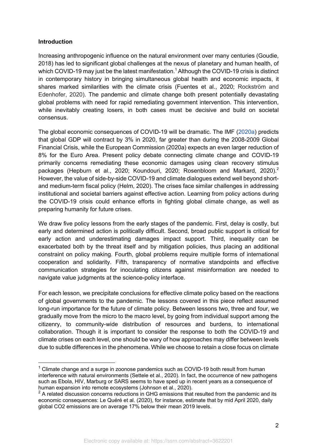#### **Introduction**

Increasing anthropogenic influence on the natural environment over many centuries (Goudie, 2018) has led to significant global challenges at the nexus of planetary and human health, of which COVID-19 may just be the latest manifestation.<sup>1</sup> Although the COVID-19 crisis is distinct in contemporary history in bringing simultaneous global health and economic impacts, it shares marked similarities with the climate crisis (Fuentes et al., 2020; Rockström and Edenhofer, 2020). The pandemic and climate change both present potentially devastating global problems with need for rapid remediating government intervention. This intervention, while inevitably creating losers, in both cases must be decisive and build on societal consensus.

The global economic consequences of COVID-19 will be dramatic. The IMF (2020a) predicts that global GDP will contract by 3% in 2020, far greater than during the 2008-2009 Global Financial Crisis, while the European Commission (2020a) expects an even larger reduction of 8% for the Euro Area. Present policy debate connecting climate change and COVID-19 primarily concerns remediating these economic damages using clean recovery stimulus packages (Hepburn et al., 2020; Koundouri, 2020; Rosenbloom and Markard, 2020).<sup>2</sup> However, the value of side-by-side COVID-19 and climate dialogues extend well beyond shortand medium-term fiscal policy (Helm, 2020). The crises face similar challenges in addressing institutional and societal barriers against effective action. Learning from policy actions during the COVID-19 crisis could enhance efforts in fighting global climate change, as well as preparing humanity for future crises.

We draw five policy lessons from the early stages of the pandemic. First, delay is costly, but early and determined action is politically difficult. Second, broad public support is critical for early action and underestimating damages impact support. Third, inequality can be exacerbated both by the threat itself and by mitigation policies, thus placing an additional constraint on policy making. Fourth, global problems require multiple forms of international cooperation and solidarity. Fifth, transparency of normative standpoints and effective communication strategies for inoculating citizens against misinformation are needed to navigate value judgments at the science-policy interface.

For each lesson, we precipitate conclusions for effective climate policy based on the reactions of global governments to the pandemic. The lessons covered in this piece reflect assumed long-run importance for the future of climate policy. Between lessons two, three and four, we gradually move from the micro to the macro level, by going from individual support among the citizenry, to community-wide distribution of resources and burdens, to international collaboration. Though it is important to consider the response to both the COVID-19 and climate crises on each level, one should be wary of how approaches may differ between levels due to subtle differences in the phenomena. While we choose to retain a close focus on climate

 $1$  Climate change and a surge in zoonose pandemics such as COVID-19 both result from human interference with natural environments (Settele et al., 2020). In fact, the occurrence of new pathogens such as Ebola, HIV, Marburg or SARS seems to have sped up in recent years as a consequence of human expansion into remote ecosystems (Johnson et al., 2020).

 $2$  A related discussion concerns reductions in GHG emissions that resulted from the pandemic and its economic consequences: Le Quéré et al. (2020), for instance, estimate that by mid April 2020, daily global CO2 emissions are on average 17% below their mean 2019 levels.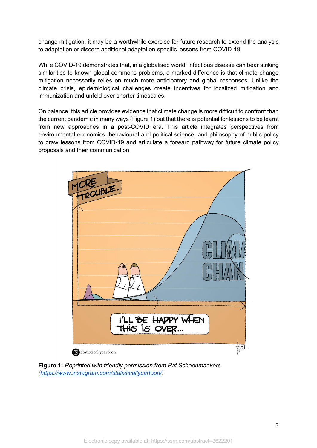change mitigation, it may be a worthwhile exercise for future research to extend the analysis to adaptation or discern additional adaptation-specific lessons from COVID-19.

While COVID-19 demonstrates that, in a globalised world, infectious disease can bear striking similarities to known global commons problems, a marked difference is that climate change mitigation necessarily relies on much more anticipatory and global responses. Unlike the climate crisis, epidemiological challenges create incentives for localized mitigation and immunization and unfold over shorter timescales.

On balance, this article provides evidence that climate change is more difficult to confront than the current pandemic in many ways (Figure 1) but that there is potential for lessons to be learnt from new approaches in a post-COVID era. This article integrates perspectives from environmental economics, behavioural and political science, and philosophy of public policy to draw lessons from COVID-19 and articulate a forward pathway for future climate policy proposals and their communication.



**Figure 1:** *Reprinted with friendly permission from Raf Schoenmaekers. (https://www.instagram.com/statisticallycartoon/)*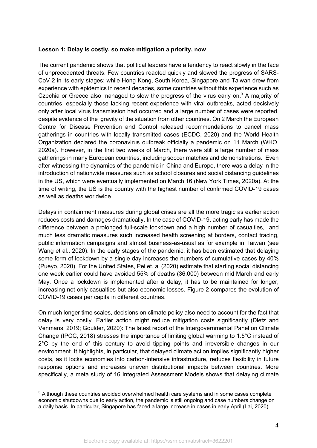#### **Lesson 1: Delay is costly, so make mitigation a priority, now**

The current pandemic shows that political leaders have a tendency to react slowly in the face of unprecedented threats. Few countries reacted quickly and slowed the progress of SARS-CoV-2 in its early stages: while Hong Kong, South Korea, Singapore and Taiwan drew from experience with epidemics in recent decades, some countries without this experience such as Czechia or Greece also managed to slow the progress of the virus early on.<sup>3</sup> A majority of countries, especially those lacking recent experience with viral outbreaks, acted decisively only after local virus transmission had occurred and a large number of cases were reported, despite evidence of the gravity of the situation from other countries. On 2 March the European Centre for Disease Prevention and Control released recommendations to cancel mass gatherings in countries with locally transmitted cases (ECDC, 2020) and the World Health Organization declared the coronavirus outbreak officially a pandemic on 11 March (WHO, 2020a). However, in the first two weeks of March, there were still a large number of mass gatherings in many European countries, including soccer matches and demonstrations. Even after witnessing the dynamics of the pandemic in China and Europe, there was a delay in the introduction of nationwide measures such as school closures and social distancing guidelines in the US, which were eventually implemented on March 16 (New York Times, 2020a). At the time of writing, the US is the country with the highest number of confirmed COVID-19 cases as well as deaths worldwide.

Delays in containment measures during global crises are all the more tragic as earlier action reduces costs and damages dramatically. In the case of COVID-19, acting early has made the difference between a prolonged full-scale lockdown and a high number of casualties, and much less dramatic measures such increased health screening at borders, contact tracing, public information campaigns and almost business-as-usual as for example in Taiwan (see Wang et al., 2020). In the early stages of the pandemic, it has been estimated that delaying some form of lockdown by a single day increases the numbers of cumulative cases by 40% (Pueyo, 2020). For the United States, Pei et. al (2020) estimate that starting social distancing one week earlier could have avoided 55% of deaths (36,000) between mid March and early May. Once a lockdown is implemented after a delay, it has to be maintained for longer, increasing not only casualties but also economic losses. Figure 2 compares the evolution of COVID-19 cases per capita in different countries.

On much longer time scales, decisions on climate policy also need to account for the fact that delay is very costly. Earlier action might reduce mitigation costs significantly (Dietz and Venmans, 2019; Goulder, 2020): The latest report of the Intergovernmental Panel on Climate Change (IPCC, 2018) stresses the importance of limiting global warming to 1.5°C instead of 2°C by the end of this century to avoid tipping points and irreversible changes in our environment. It highlights, in particular, that delayed climate action implies significantly higher costs, as it locks economies into carbon-intensive infrastructure, reduces flexibility in future response options and increases uneven distributional impacts between countries. More specifically, a meta study of 16 Integrated Assessment Models shows that delaying climate

 $3$  Although these countries avoided overwhelmed health care systems and in some cases complete economic shutdowns due to early action, the pandemic is still ongoing and case numbers change on a daily basis. In particular, Singapore has faced a large increase in cases in early April (Lai, 2020).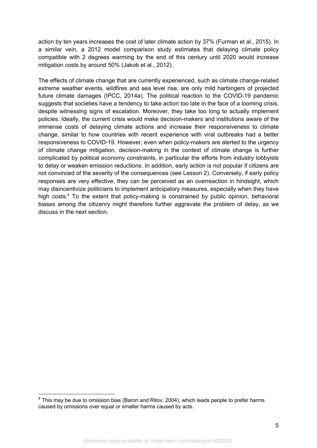action by ten years increases the cost of later climate action by 37% (Furman et al., 2015). In a similar vein, a 2012 model comparison study estimates that delaying climate policy compatible with 2 degrees warming by the end of this century until 2020 would increase mitigation costs by around 50% (Jakob et al., 2012).

The effects of climate change that are currently experienced, such as climate change-related extreme weather events, wildfires and sea level rise, are only mild harbingers of projected future climate damages (IPCC, 2014a). The political reaction to the COVID-19 pandemic suggests that societies have a tendency to take action too late in the face of a looming crisis, despite witnessing signs of escalation. Moreover, they take too long to actually implement policies. Ideally, the current crisis would make decision-makers and institutions aware of the immense costs of delaying climate actions and increase their responsiveness to climate change, similar to how countries with recent experience with viral outbreaks had a better responsiveness to COVID-19. However, even when policy-makers are alerted to the urgency of climate change mitigation, decision-making in the context of climate change is further complicated by political economy constraints, in particular the efforts from industry lobbyists to delay or weaken emission reductions. In addition, early action is not popular if citizens are not convinced of the severity of the consequences (see Lesson 2). Conversely, if early policy responses are very effective, they can be perceived as an overreaction in hindsight, which may disincentivize politicians to implement anticipatory measures, especially when they have high costs.<sup>4</sup> To the extent that policy-making is constrained by public opinion, behavioral biases among the citizenry might therefore further aggravate the problem of delay, as we discuss in the next section.

 $4$  This may be due to omission bias (Baron and Ritov, 2004), which leads people to prefer harms caused by omissions over equal or smaller harms caused by acts.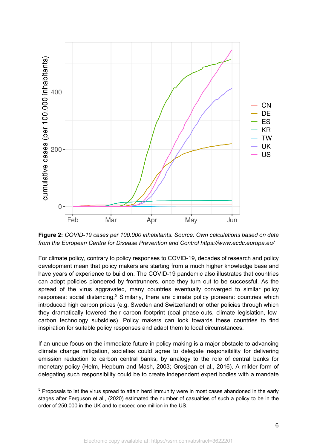

**Figure 2:** *COVID-19 cases per 100.000 inhabitants. Source: Own calculations based on data from the European Centre for Disease Prevention and Control https://www.ecdc.europa.eu/*

For climate policy, contrary to policy responses to COVID-19, decades of research and policy development mean that policy makers are starting from a much higher knowledge base and have years of experience to build on. The COVID-19 pandemic also illustrates that countries can adopt policies pioneered by frontrunners, once they turn out to be successful. As the spread of the virus aggravated, many countries eventually converged to similar policy responses: social distancing.<sup>5</sup> Similarly, there are climate policy pioneers: countries which introduced high carbon prices (e.g. Sweden and Switzerland) or other policies through which they dramatically lowered their carbon footprint (coal phase-outs, climate legislation, lowcarbon technology subsidies). Policy makers can look towards these countries to find inspiration for suitable policy responses and adapt them to local circumstances.

If an undue focus on the immediate future in policy making is a major obstacle to advancing climate change mitigation, societies could agree to delegate responsibility for delivering emission reduction to carbon central banks, by analogy to the role of central banks for monetary policy (Helm, Hepburn and Mash, 2003; Grosjean et al., 2016). A milder form of delegating such responsibility could be to create independent expert bodies with a mandate

 $5$  Proposals to let the virus spread to attain herd immunity were in most cases abandoned in the early stages after Ferguson et al., (2020) estimated the number of casualties of such a policy to be in the order of 250,000 in the UK and to exceed one million in the US.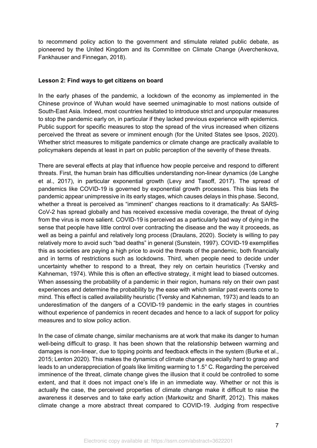to recommend policy action to the government and stimulate related public debate, as pioneered by the United Kingdom and its Committee on Climate Change (Averchenkova, Fankhauser and Finnegan, 2018).

#### **Lesson 2: Find ways to get citizens on board**

In the early phases of the pandemic, a lockdown of the economy as implemented in the Chinese province of Wuhan would have seemed unimaginable to most nations outside of South-East Asia. Indeed, most countries hesitated to introduce strict and unpopular measures to stop the pandemic early on, in particular if they lacked previous experience with epidemics. Public support for specific measures to stop the spread of the virus increased when citizens perceived the threat as severe or imminent enough (for the United States see Ipsos, 2020). Whether strict measures to mitigate pandemics or climate change are practically available to policymakers depends at least in part on public perception of the severity of these threats.

There are several effects at play that influence how people perceive and respond to different threats. First, the human brain has difficulties understanding non-linear dynamics (de Langhe et al., 2017), in particular exponential growth (Levy and Tasoff, 2017). The spread of pandemics like COVID-19 is governed by exponential growth processes. This bias lets the pandemic appear unimpressive in its early stages, which causes delays in this phase. Second, whether a threat is perceived as "imminent" changes reactions to it dramatically: As SARS-CoV-2 has spread globally and has received excessive media coverage, the threat of dying from the virus is more salient. COVID-19 is perceived as a particularly bad way of dying in the sense that people have little control over contracting the disease and the way it proceeds, as well as being a painful and relatively long process (Draulans, 2020). Society is willing to pay relatively more to avoid such "bad deaths" in general (Sunstein, 1997). COVID-19 exemplifies this as societies are paying a high price to avoid the threats of the pandemic, both financially and in terms of restrictions such as lockdowns. Third, when people need to decide under uncertainty whether to respond to a threat, they rely on certain heuristics (Tversky and Kahneman, 1974). While this is often an effective strategy, it might lead to biased outcomes. When assessing the probability of a pandemic in their region, humans rely on their own past experiences and determine the probability by the ease with which similar past events come to mind. This effect is called availability heuristic (Tversky and Kahneman, 1973) and leads to an underestimation of the dangers of a COVID-19 pandemic in the early stages in countries without experience of pandemics in recent decades and hence to a lack of support for policy measures and to slow policy action.

In the case of climate change, similar mechanisms are at work that make its danger to human well-being difficult to grasp. It has been shown that the relationship between warming and damages is non-linear, due to tipping points and feedback effects in the system (Burke et al., 2015; Lenton 2020). This makes the dynamics of climate change especially hard to grasp and leads to an underappreciation of goals like limiting warming to 1.5° C. Regarding the perceived imminence of the threat, climate change gives the illusion that it could be controlled to some extent, and that it does not impact one's life in an immediate way. Whether or not this is actually the case, the perceived properties of climate change make it difficult to raise the awareness it deserves and to take early action (Markowitz and Shariff, 2012). This makes climate change a more abstract threat compared to COVID-19. Judging from respective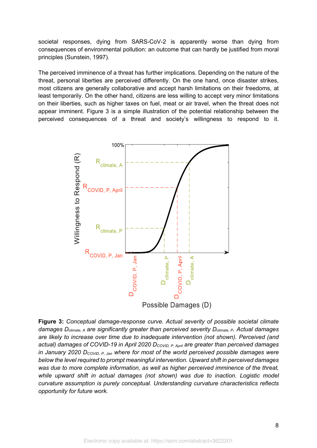societal responses, dying from SARS-CoV-2 is apparently worse than dying from consequences of environmental pollution: an outcome that can hardly be justified from moral principles (Sunstein, 1997).

The perceived imminence of a threat has further implications. Depending on the nature of the threat, personal liberties are perceived differently. On the one hand, once disaster strikes, most citizens are generally collaborative and accept harsh limitations on their freedoms, at least temporarily. On the other hand, citizens are less willing to accept very minor limitations on their liberties, such as higher taxes on fuel, meat or air travel, when the threat does not appear imminent. Figure 3 is a simple illustration of the potential relationship between the perceived consequences of a threat and society's willingness to respond to it.



**Figure 3:** *Conceptual damage-response curve. Actual severity of possible societal climate damages Dclimate, A are significantly greater than perceived severity Dclimate, P. Actual damages are likely to increase over time due to inadequate intervention (not shown). Perceived (and*  actual) damages of COVID-19 in April 2020 D<sub>COVID, P, April</sub> are greater than perceived damages *in January 2020 DCOVID, P, Jan where for most of the world perceived possible damages were below the level required to prompt meaningful intervention. Upward shift in perceived damages was due to more complete information, as well as higher perceived imminence of the threat, while upward shift in actual damages (not shown) was due to inaction. Logistic model curvature assumption is purely conceptual. Understanding curvature characteristics reflects opportunity for future work.*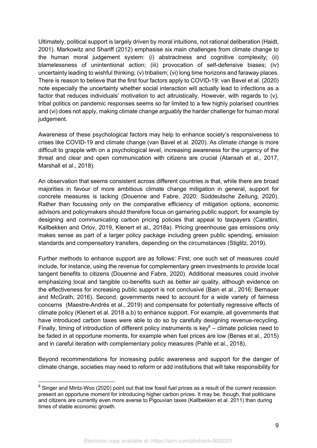Ultimately, political support is largely driven by moral intuitions, not rational deliberation (Haidt, 2001). Markowitz and Shariff (2012) emphasise six main challenges from climate change to the human moral judgement system: (i) abstractness and cognitive complexity; (ii) blamelessness of unintentional action; (iii) provocation of self-defensive biases; (iv) uncertainty leading to wishful thinking; (v) tribalism; (vi) long time horizons and faraway places. There is reason to believe that the first four factors apply to COVID-19: van Bavel et al. (2020) note especially the uncertainty whether social interaction will actually lead to infections as a factor that reduces individuals' motivation to act altruistically. However, with regards to (v), tribal politics on pandemic responses seems so far limited to a few highly polarised countries and (vi) does not apply, making climate change arguably the harder challenge for human moral judgement.

Awareness of these psychological factors may help to enhance society's responsiveness to crises like COVID-19 and climate change (van Bavel et al. 2020). As climate change is more difficult to grapple with on a psychological level, increasing awareness for the urgency of the threat and clear and open communication with citizens are crucial (Atansah et al., 2017, Marshall et al., 2018).

An observation that seems consistent across different countries is that, while there are broad majorities in favour of more ambitious climate change mitigation in general, support for concrete measures is lacking (Douenne and Fabre, 2020; Süddeutsche Zeitung, 2020). Rather than focussing only on the comparative efficiency of mitigation options, economic advisors and policymakers should therefore focus on garnering public support, for example by designing and communicating carbon pricing policies that appeal to taxpayers (Carattini, Kallbekken and Orlov, 2019, Klenert et al., 2018a). Pricing greenhouse gas emissions only makes sense as part of a larger policy package including green public spending, emission standards and compensatory transfers, depending on the circumstances (Stiglitz, 2019).

Further methods to enhance support are as follows: First, one such set of measures could include, for instance, using the revenue for complementary green investments to provide local tangent benefits to citizens (Douenne and Fabre, 2020). Additional measures could involve emphasizing local and tangible co-benefits such as better air quality, although evidence on the effectiveness for increasing public support is not conclusive (Bain et al., 2016; Bernauer and McGrath, 2016). Second, governments need to account for a wide variety of fairness concerns (Maestre-Andrés et al., 2019) and compensate for potentially regressive effects of climate policy (Klenert et al. 2018 a,b) to enhance support. For example, all governments that have introduced carbon taxes were able to do so by carefully designing revenue-recycling. Finally, timing of introduction of different policy instruments is  $\text{key}^6$  – climate policies need to be faded in at opportune moments, for example when fuel prices are low (Benes et al., 2015) and in careful iteration with complementary policy measures (Pahle et al., 2018).

Beyond recommendations for increasing public awareness and support for the danger of climate change, societies may need to reform or add institutions that will take responsibility for

 $6$  Singer and Mintz-Woo (2020) point out that low fossil fuel prices as a result of the current recession present an opportune moment for introducing higher carbon prices. It may be, though, that politicians and citizens are currently even more averse to Pigouvian taxes (Kallbekken et al. 2011) than during times of stable economic growth.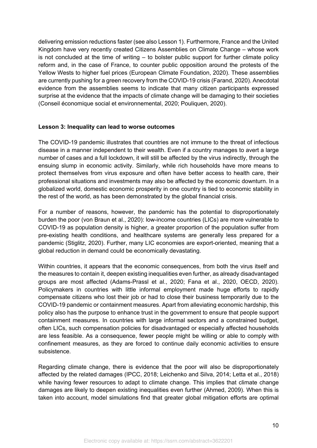delivering emission reductions faster (see also Lesson 1). Furthermore, France and the United Kingdom have very recently created Citizens Assemblies on Climate Change – whose work is not concluded at the time of writing – to bolster public support for further climate policy reform and, in the case of France, to counter public opposition around the protests of the Yellow Wests to higher fuel prices (European Climate Foundation, 2020). These assemblies are currently pushing for a green recovery from the COVID-19 crisis (Farand, 2020). Anecdotal evidence from the assemblies seems to indicate that many citizen participants expressed surprise at the evidence that the impacts of climate change will be damaging to their societies (Conseil économique social et environnemental, 2020; Pouliquen, 2020).

#### **Lesson 3: Inequality can lead to worse outcomes**

The COVID-19 pandemic illustrates that countries are not immune to the threat of infectious disease in a manner independent to their wealth. Even if a country manages to avert a large number of cases and a full lockdown, it will still be affected by the virus indirectly, through the ensuing slump in economic activity. Similarly, while rich households have more means to protect themselves from virus exposure and often have better access to health care, their professional situations and investments may also be affected by the economic downturn. In a globalized world, domestic economic prosperity in one country is tied to economic stability in the rest of the world, as has been demonstrated by the global financial crisis.

For a number of reasons, however, the pandemic has the potential to disproportionately burden the poor (von Braun et al., 2020): low-income countries (LICs) are more vulnerable to COVID-19 as population density is higher, a greater proportion of the population suffer from pre-existing health conditions, and healthcare systems are generally less prepared for a pandemic (Stiglitz, 2020). Further, many LIC economies are export-oriented, meaning that a global reduction in demand could be economically devastating.

Within countries, it appears that the economic consequences, from both the virus itself and the measures to contain it, deepen existing inequalities even further, as already disadvantaged groups are most affected (Adams-Prassl et al., 2020; Fana et al., 2020, OECD, 2020). Policymakers in countries with little informal employment made huge efforts to rapidly compensate citizens who lost their job or had to close their business temporarily due to the COVID-19 pandemic or containment measures. Apart from alleviating economic hardship, this policy also has the purpose to enhance trust in the government to ensure that people support containment measures. In countries with large informal sectors and a constrained budget, often LICs, such compensation policies for disadvantaged or especially affected households are less feasible. As a consequence, fewer people might be willing or able to comply with confinement measures, as they are forced to continue daily economic activities to ensure subsistence.

Regarding climate change, there is evidence that the poor will also be disproportionately affected by the related damages (IPCC, 2018; Leichenko and Silva, 2014; Letta et al., 2018) while having fewer resources to adapt to climate change. This implies that climate change damages are likely to deepen existing inequalities even further (Ahmed, 2009). When this is taken into account, model simulations find that greater global mitigation efforts are optimal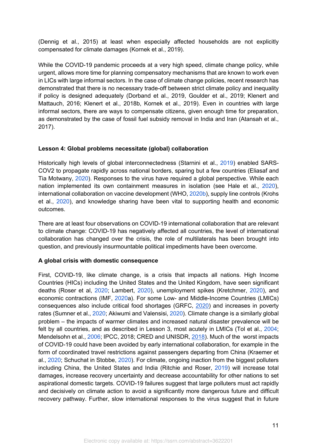(Dennig et al., 2015) at least when especially affected households are not explicitly compensated for climate damages (Kornek et al., 2019).

While the COVID-19 pandemic proceeds at a very high speed, climate change policy, while urgent, allows more time for planning compensatory mechanisms that are known to work even in LICs with large informal sectors. In the case of climate change policies, recent research has demonstrated that there is no necessary trade-off between strict climate policy and inequality if policy is designed adequately (Dorband et al., 2019, Goulder et al., 2019; Klenert and Mattauch, 2016; Klenert et al., 2018b, Kornek et al., 2019). Even in countries with large informal sectors, there are ways to compensate citizens, given enough time for preparation, as demonstrated by the case of fossil fuel subsidy removal in India and Iran (Atansah et al., 2017).

# **Lesson 4: Global problems necessitate (global) collaboration**

Historically high levels of global interconnectedness (Starnini et al., 2019) enabled SARS-COV2 to propagate rapidly across national borders, sparing but a few countries (Eliasaf and Tia Motwany, 2020). Responses to the virus have required a global perspective. While each nation implemented its own containment measures in isolation (see Hale et al., 2020), international collaboration on vaccine development (WHO, 2020b), supply line controls (Krohs et al., 2020), and knowledge sharing have been vital to supporting health and economic outcomes.

There are at least four observations on COVID-19 international collaboration that are relevant to climate change: COVID-19 has negatively affected all countries, the level of international collaboration has changed over the crisis, the role of multilaterals has been brought into question, and previously insurmountable political impediments have been overcome.

# **A global crisis with domestic consequence**

First, COVID-19, like climate change, is a crisis that impacts all nations. High Income Countries (HICs) including the United States and the United Kingdom, have seen significant deaths (Roser et al, 2020; Lambert, 2020), unemployment spikes (Kretchmer, 2020), and economic contractions (IMF, 2020a). For some Low- and Middle-Income Countries (LMICs) consequences also include critical food shortages (GRFC, 2020) and increases in poverty rates (Sumner et al., 2020; Akiwumi and Valensisi, 2020). Climate change is a similarly global problem – the impacts of warmer climates and increased natural disaster prevalence will be felt by all countries, and as described in Lesson 3, most acutely in LMICs (Tol et al., 2004; Mendelsohn et al., 2006; IPCC, 2018; CRED and UNISDR, 2018). Much of the worst impacts of COVID-19 could have been avoided by early international collaboration, for example in the form of coordinated travel restrictions against passengers departing from China (Kraemer et al., 2020; Schuchat in Stobbe, 2020). For climate, ongoing inaction from the biggest polluters including China, the United States and India (Ritchie and Roser, 2019) will increase total damages, increase recovery uncertainty and decrease accountability for other nations to set aspirational domestic targets. COVID-19 failures suggest that large polluters must act rapidly and decisively on climate action to avoid a significantly more dangerous future and difficult recovery pathway. Further, slow international responses to the virus suggest that in future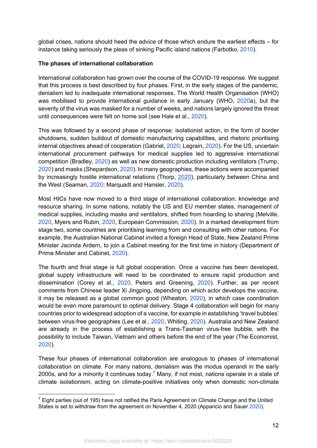global crises, nations should heed the advice of those which endure the earliest effects – for instance taking seriously the pleas of sinking Pacific island nations (Farbotko, 2010).

# **The phases of international collaboration**

International collaboration has grown over the course of the COVID-19 response. We suggest that this process is best described by four phases. First, in the early stages of the pandemic, denialism led to inadequate international responses. The World Health Organisation (WHO) was mobilised to provide international guidance in early January (WHO, 2020a), but the severity of the virus was masked for a number of weeks, and nations largely ignored the threat until consequences were felt on home soil (see Hale et al., 2020).

This was followed by a second phase of response: isolationist action, in the form of border shutdowns, sudden buildout of domestic manufacturing capabilities, and rhetoric prioritising internal objectives ahead of cooperation (Gabriel, 2020; Legrain, 2020). For the US, uncertain international procurement pathways for medical supplies led to aggressive international competition (Bradley, 2020) as well as new domestic production including ventilators (Trump, 2020) and masks (Shepardson, 2020). In many geographies, these actions were accompanied by increasingly hostile international relations (Thorp, 2020), particularly between China and the West (Seaman, 2020; Marquadt and Hansler, 2020).

Most HICs have now moved to a third stage of international collaboration: knowledge and resource sharing. In some nations, notably the US and EU member states, management of medical supplies, including masks and ventilators, shifted from hoarding to sharing (Melville, 2020, Myers and Rubin, 2020, European Commission, 2020). In a marked development from stage two, some countries are prioritising learning from and consulting with other nations. For example, the Australian National Cabinet invited a foreign Head of State, New Zealand Prime Minister Jacinda Ardern, to join a Cabinet meeting for the first time in history (Department of Prime Minister and Cabinet, 2020).

The fourth and final stage is full global cooperation. Once a vaccine has been developed, global supply infrastructure will need to be coordinated to ensure rapid production and dissemination (Corey et al., 2020, Peters and Greening, 2020). Further, as per recent comments from Chinese leader Xi Jingping, depending on which actor develops the vaccine, it may be released as a global common good (Wheaton, 2020), in which case coordination would be even more paramount to optimal delivery. Stage 4 collaboration will begin for many countries prior to widespread adoption of a vaccine, for example in establishing 'travel bubbles' between virus-free geographies (Lee et al., 2020, Whiting, 2020). Australia and New Zealand are already in the process of establishing a Trans-Tasman virus-free bubble, with the possibility to include Taiwan, Vietnam and others before the end of the year (The Economist, 2020).

These four phases of international collaboration are analogous to phases of international collaboration on climate. For many nations, denialism was the modus operandi in the early 2000s, and for a minority it continues today.<sup>7</sup> Many, if not most, nations operate in a state of climate isolationism, acting on climate-positive initiatives only when domestic non-climate

 $7$  Eight parties (out of 195) have not ratified the Paris Agreement on Climate Change and the United States is set to withdraw from the agreement on November 4, 2020 (Apparicio and Sauer 2020).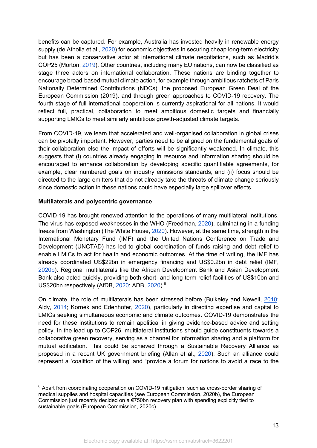benefits can be captured. For example, Australia has invested heavily in renewable energy supply (de Atholia et al., 2020) for economic objectives in securing cheap long-term electricity but has been a conservative actor at international climate negotiations, such as Madrid's COP25 (Morton, 2019). Other countries, including many EU nations, can now be classified as stage three actors on international collaboration. These nations are binding together to encourage broad-based mutual climate action, for example through ambitious ratchets of Paris Nationally Determined Contributions (NDCs), the proposed European Green Deal of the European Commission (2019), and through green approaches to COVID-19 recovery. The fourth stage of full international cooperation is currently aspirational for all nations. It would reflect full, practical, collaboration to meet ambitious domestic targets and financially supporting LMICs to meet similarly ambitious growth-adjusted climate targets.

From COVID-19, we learn that accelerated and well-organised collaboration in global crises can be pivotally important. However, parties need to be aligned on the fundamental goals of their collaboration else the impact of efforts will be significantly weakened. In climate, this suggests that (i) countries already engaging in resource and information sharing should be encouraged to enhance collaboration by developing specific quantifiable agreements, for example, clear numbered goals on industry emissions standards, and (ii) focus should be directed to the large emitters that do not already take the threats of climate change seriously since domestic action in these nations could have especially large spillover effects.

# **Multilaterals and polycentric governance**

COVID-19 has brought renewed attention to the operations of many multilateral institutions. The virus has exposed weaknesses in the WHO (Freedman, 2020), culminating in a funding freeze from Washington (The White House, 2020). However, at the same time, strength in the International Monetary Fund (IMF) and the United Nations Conference on Trade and Development (UNCTAD) has led to global coordination of funds raising and debt relief to enable LMICs to act for health and economic outcomes. At the time of writing, the IMF has already coordinated US\$22bn in emergency financing and US\$0.2bn in debt relief (IMF, 2020b). Regional multilaterals like the African Development Bank and Asian Development Bank also acted quickly, providing both short- and long-term relief facilities of US\$10bn and US\$20bn respectively (AfDB, 2020; ADB, 2020).<sup>8</sup>

On climate, the role of multilaterals has been stressed before (Bulkeley and Newell, 2010; Aldy, 2014; Kornek and Edenhofer, 2020), particularly in directing expertise and capital to LMICs seeking simultaneous economic and climate outcomes. COVID-19 demonstrates the need for these institutions to remain apolitical in giving evidence-based advice and setting policy. In the lead up to COP26, multilateral institutions should guide constituents towards a collaborative green recovery, serving as a channel for information sharing and a platform for mutual edification. This could be achieved through a Sustainable Recovery Alliance as proposed in a recent UK government briefing (Allan et al., 2020). Such an alliance could represent a 'coalition of the willing' and "provide a forum for nations to avoid a race to the

<sup>&</sup>lt;sup>8</sup> Apart from coordinating cooperation on COVID-19 mitigation, such as cross-border sharing of medical supplies and hospital capacities (see European Commission, 2020b), the European Commission just recently decided on a  $\epsilon$ 750bn recovery plan with spending explicitly tied to sustainable goals (European Commission, 2020c).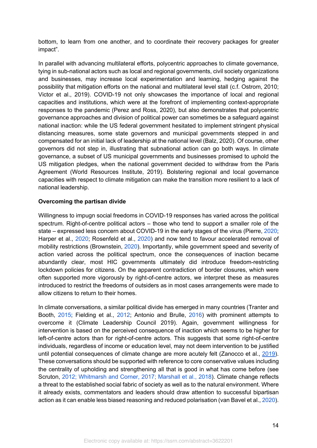bottom, to learn from one another, and to coordinate their recovery packages for greater impact".

In parallel with advancing multilateral efforts, polycentric approaches to climate governance, tying in sub-national actors such as local and regional governments, civil society organizations and businesses, may increase local experimentation and learning, hedging against the possibility that mitigation efforts on the national and multilateral level stall (c.f. Ostrom, 2010; Victor et al., 2019). COVID-19 not only showcases the importance of local and regional capacities and institutions, which were at the forefront of implementing context-appropriate responses to the pandemic (Perez and Ross, 2020), but also demonstrates that polycentric governance approaches and division of political power can sometimes be a safeguard against national inaction: while the US federal government hesitated to implement stringent physical distancing measures, some state governors and municipal governments stepped in and compensated for an initial lack of leadership at the national level (Balz, 2020). Of course, other governors did not step in, illustrating that subnational action can go both ways. In climate governance, a subset of US municipal governments and businesses promised to uphold the US mitigation pledges, when the national government decided to withdraw from the Paris Agreement (World Resources Institute, 2019). Bolstering regional and local governance capacities with respect to climate mitigation can make the transition more resilient to a lack of national leadership.

# **Overcoming the partisan divide**

Willingness to impugn social freedoms in COVID-19 responses has varied across the political spectrum. Right-of-centre political actors – those who tend to support a smaller role of the state – expressed less concern about COVID-19 in the early stages of the virus (Pierre, 2020; Harper et al., 2020; Rosenfeld et al., 2020) and now tend to favour accelerated removal of mobility restrictions (Brownstein, 2020). Importantly, while government speed and severity of action varied across the political spectrum, once the consequences of inaction became abundantly clear, most HIC governments ultimately did introduce freedom-restricting lockdown policies for citizens. On the apparent contradiction of border closures, which were often supported more vigorously by right-of-centre actors, we interpret these as measures introduced to restrict the freedoms of outsiders as in most cases arrangements were made to allow citizens to return to their homes.

In climate conversations, a similar political divide has emerged in many countries (Tranter and Booth, 2015; Fielding et al., 2012; Antonio and Brulle, 2016) with prominent attempts to overcome it (Climate Leadership Council 2019). Again, government willingness for intervention is based on the perceived consequence of inaction which seems to be higher for left-of-centre actors than for right-of-centre actors. This suggests that some right-of-centre individuals, regardless of income or education level, may not deem intervention to be justified until potential consequences of climate change are more acutely felt (Zanocco et al., 2019). These conversations should be supported with reference to core conservative values including the centrality of upholding and strengthening all that is good in what has come before (see Scruton, 2012; Whitmarsh and Corner, 2017; Marshall et al., 2018). Climate change reflects a threat to the established social fabric of society as well as to the natural environment. Where it already exists, commentators and leaders should draw attention to successful bipartisan action as it can enable less biased reasoning and reduced polarisation (van Bavel et al., 2020).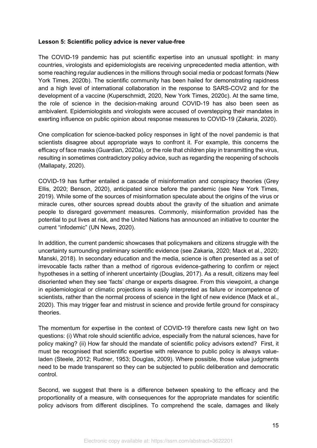#### **Lesson 5: Scientific policy advice is never value-free**

The COVID-19 pandemic has put scientific expertise into an unusual spotlight: in many countries, virologists and epidemiologists are receiving unprecedented media attention, with some reaching regular audiences in the millions through social media or podcast formats (New York Times, 2020b). The scientific community has been hailed for demonstrating rapidness and a high level of international collaboration in the response to SARS-COV2 and for the development of a vaccine (Kuperschmidt, 2020, New York Times, 2020c). At the same time, the role of science in the decision-making around COVID-19 has also been seen as ambivalent. Epidemiologists and virologists were accused of overstepping their mandates in exerting influence on public opinion about response measures to COVID-19 (Zakaria, 2020).

One complication for science-backed policy responses in light of the novel pandemic is that scientists disagree about appropriate ways to confront it. For example, this concerns the efficacy of face masks (Guardian, 2020a), or the role that children play in transmitting the virus, resulting in sometimes contradictory policy advice, such as regarding the reopening of schools (Mallapaty, 2020).

COVID-19 has further entailed a cascade of misinformation and conspiracy theories (Grey Ellis, 2020; Benson, 2020), anticipated since before the pandemic (see New York Times, 2019). While some of the sources of misinformation speculate about the origins of the virus or miracle cures, other sources spread doubts about the gravity of the situation and animate people to disregard government measures. Commonly, misinformation provided has the potential to put lives at risk, and the United Nations has announced an initiative to counter the current "infodemic" (UN News, 2020).

In addition, the current pandemic showcases that policymakers and citizens struggle with the uncertainty surrounding preliminary scientific evidence (see Zakaria, 2020; Mack et al., 2020; Manski, 2018). In secondary education and the media, science is often presented as a set of irrevocable facts rather than a method of rigorous evidence-gathering to confirm or reject hypotheses in a setting of inherent uncertainty (Douglas, 2017). As a result, citizens may feel disoriented when they see 'facts' change or experts disagree. From this viewpoint, a change in epidemiological or climatic projections is easily interpreted as failure or incompetence of scientists, rather than the normal process of science in the light of new evidence (Mack et al., 2020). This may trigger fear and mistrust in science and provide fertile ground for conspiracy theories.

The momentum for expertise in the context of COVID-19 therefore casts new light on two questions: (i) What role should scientific advice, especially from the natural sciences, have for policy making? (ii) How far should the mandate of scientific policy advisors extend? First, it must be recognised that scientific expertise with relevance to public policy is always valueladen (Steele, 2012; Rudner, 1953; Douglas, 2009). Where possible, those value judgments need to be made transparent so they can be subjected to public deliberation and democratic control.

Second, we suggest that there is a difference between speaking to the efficacy and the proportionality of a measure, with consequences for the appropriate mandates for scientific policy advisors from different disciplines. To comprehend the scale, damages and likely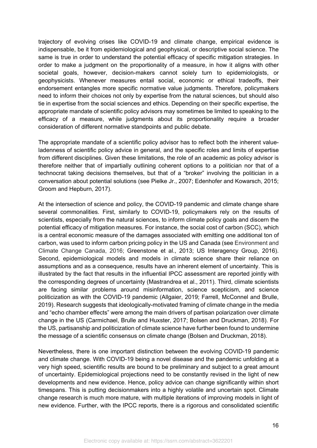trajectory of evolving crises like COVID-19 and climate change, empirical evidence is indispensable, be it from epidemiological and geophysical, or descriptive social science. The same is true in order to understand the potential efficacy of specific mitigation strategies. In order to make a judgment on the proportionality of a measure, in how it aligns with other societal goals, however, decision-makers cannot solely turn to epidemiologists, or geophysicists. Whenever measures entail social, economic or ethical tradeoffs, their endorsement entangles more specific normative value judgments. Therefore, policymakers need to inform their choices not only by expertise from the natural sciences, but should also tie in expertise from the social sciences and ethics. Depending on their specific expertise, the appropriate mandate of scientific policy advisors may sometimes be limited to speaking to the efficacy of a measure, while judgments about its proportionality require a broader consideration of different normative standpoints and public debate.

The appropriate mandate of a scientific policy advisor has to reflect both the inherent valueladenness of scientific policy advice in general, and the specific roles and limits of expertise from different disciplines. Given these limitations, the role of an academic as policy advisor is therefore neither that of impartially outlining coherent options to a politician nor that of a technocrat taking decisions themselves, but that of a "broker" involving the politician in a conversation about potential solutions (see Pielke Jr., 2007; Edenhofer and Kowarsch, 2015; Groom and Hepburn, 2017).

At the intersection of science and policy, the COVID-19 pandemic and climate change share several commonalities. First, similarly to COVID-19, policymakers rely on the results of scientists, especially from the natural sciences, to inform climate policy goals and discern the potential efficacy of mitigation measures. For instance, the social cost of carbon (SCC), which is a central economic measure of the damages associated with emitting one additional ton of carbon, was used to inform carbon pricing policy in the US and Canada (see Environment and Climate Change Canada, 2016; Greenstone et al., 2013; US Interagency Group, 2016). Second, epidemiological models and models in climate science share their reliance on assumptions and as a consequence, results have an inherent element of uncertainty. This is illustrated by the fact that results in the influential IPCC assessment are reported jointly with the corresponding degrees of uncertainty (Mastrandrea et al., 2011). Third, climate scientists are facing similar problems around misinformation, science scepticism, and science politicization as with the COVID-19 pandemic (Allgaier, 2019; Farrell, McConnel and Brulle, 2019). Research suggests that ideologically-motivated framing of climate change in the media and "echo chamber effects" were among the main drivers of partisan polarization over climate change in the US (Carmichael, Brulle and Huxster, 2017; Bolsen and Druckman, 2018). For the US, partisanship and politicization of climate science have further been found to undermine the message of a scientific consensus on climate change (Bolsen and Druckman, 2018).

Nevertheless, there is one important distinction between the evolving COVID-19 pandemic and climate change. With COVID-19 being a novel disease and the pandemic unfolding at a very high speed, scientific results are bound to be preliminary and subject to a great amount of uncertainty. Epidemiological projections need to be constantly revised in the light of new developments and new evidence. Hence, policy advice can change significantly within short timespans. This is putting decisionmakers into a highly volatile and uncertain spot. Climate change research is much more mature, with multiple iterations of improving models in light of new evidence. Further, with the IPCC reports, there is a rigorous and consolidated scientific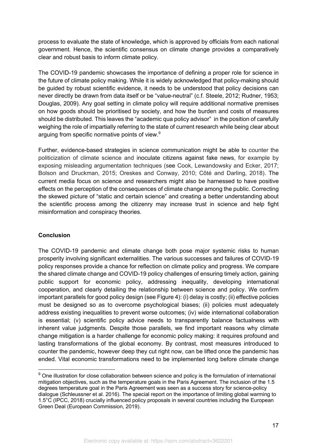process to evaluate the state of knowledge, which is approved by officials from each national government. Hence, the scientific consensus on climate change provides a comparatively clear and robust basis to inform climate policy.

The COVID-19 pandemic showcases the importance of defining a proper role for science in the future of climate policy making. While it is widely acknowledged that policy-making should be guided by robust scientific evidence, it needs to be understood that policy decisions can never directly be drawn from data itself or be "value-neutral" (c.f. Steele, 2012; Rudner, 1953; Douglas, 2009). Any goal setting in climate policy will require additional normative premises on how goods should be prioritised by society, and how the burden and costs of measures should be distributed. This leaves the "academic qua policy advisor" in the position of carefully weighing the role of impartially referring to the state of current research while being clear about arguing from specific normative points of view.<sup>9</sup>

Further, evidence-based strategies in science communication might be able to counter the politicization of climate science and inoculate citizens against fake news, for example by exposing misleading argumentation techniques (see Cook, Lewandowsky and Ecker, 2017; Bolson and Druckman, 2015; Oreskes and Conway, 2010; Côté and Darling, 2018). The current media focus on science and researchers might also be harnessed to have positive effects on the perception of the consequences of climate change among the public. Correcting the skewed picture of "static and certain science" and creating a better understanding about the scientific process among the citizenry may increase trust in science and help fight misinformation and conspiracy theories.

# **Conclusion**

The COVID-19 pandemic and climate change both pose major systemic risks to human prosperity involving significant externalities. The various successes and failures of COVID-19 policy responses provide a chance for reflection on climate policy and progress. We compare the shared climate change and COVID-19 policy challenges of ensuring timely action, gaining public support for economic policy, addressing inequality, developing international cooperation, and clearly detailing the relationship between science and policy. We confirm important parallels for good policy design (see Figure 4): (i) delay is costly; (ii) effective policies must be designed so as to overcome psychological biases; (ii) policies must adequately address existing inequalities to prevent worse outcomes; (iv) wide international collaboration is essential; (v) scientific policy advice needs to transparently balance factualness with inherent value judgments. Despite those parallels, we find important reasons why climate change mitigation is a harder challenge for economic policy making: it requires profound and lasting transformations of the global economy. By contrast, most measures introduced to counter the pandemic, however deep they cut right now, can be lifted once the pandemic has ended. Vital economic transformations need to be implemented long before climate change

<sup>&</sup>lt;sup>9</sup> One illustration for close collaboration between science and policy is the formulation of international mitigation objectives, such as the temperature goals in the Paris Agreement. The inclusion of the 1.5 degrees temperature goal in the Paris Agreement was seen as a success story for science-policy dialogue (Schleussner et al. 2016). The special report on the importance of limiting global warming to 1.5°C (IPCC, 2018) crucially influenced policy proposals in several countries including the European Green Deal (European Commission, 2019).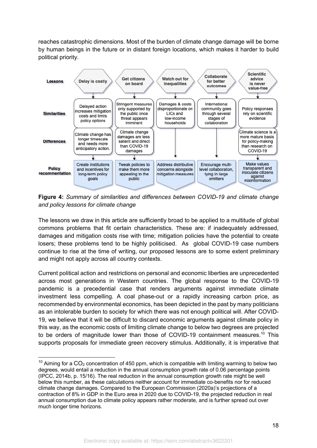reaches catastrophic dimensions. Most of the burden of climate change damage will be borne by human beings in the future or in distant foreign locations, which makes it harder to build political priority.



**Figure 4:** *Summary of similarities and differences between COVID-19 and climate change and policy lessons for climate change*

The lessons we draw in this article are sufficiently broad to be applied to a multitude of global commons problems that fit certain characteristics. These are: if inadequately addressed, damages and mitigation costs rise with time; mitigation policies have the potential to create losers; these problems tend to be highly politicised. As global COVID-19 case numbers continue to rise at the time of writing, our proposed lessons are to some extent preliminary and might not apply across all country contexts.

Current political action and restrictions on personal and economic liberties are unprecedented across most generations in Western countries. The global response to the COVID-19 pandemic is a precedential case that renders arguments against immediate climate investment less compelling. A coal phase-out or a rapidly increasing carbon price, as recommended by environmental economics, has been depicted in the past by many politicians as an intolerable burden to society for which there was not enough political will. After COVID-19, we believe that it will be difficult to discard economic arguments against climate policy in this way, as the economic costs of limiting climate change to below two degrees are projected to be orders of magnitude lower than those of COVID-19 containment measures.<sup>10</sup> This supports proposals for immediate green recovery stimulus. Additionally, it is imperative that

 $10$  Aiming for a CO<sub>2</sub> concentration of 450 ppm, which is compatible with limiting warming to below two degrees, would entail a reduction in the annual consumption growth rate of 0.06 percentage points (IPCC, 2014b, p. 15/16). The real reduction in the annual consumption growth rate might be well below this number, as these calculations neither account for immediate co-benefits nor for reduced climate change damages. Compared to the European Commission (2020a)'s projections of a contraction of 8% in GDP in the Euro area in 2020 due to COVID-19, the projected reduction in real annual consumption due to climate policy appears rather moderate, and is further spread out over much longer time horizons.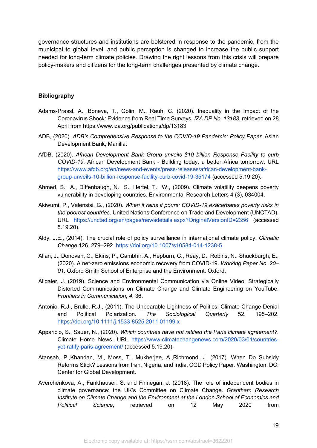governance structures and institutions are bolstered in response to the pandemic, from the municipal to global level, and public perception is changed to increase the public support needed for long-term climate policies. Drawing the right lessons from this crisis will prepare policy-makers and citizens for the long-term challenges presented by climate change.

#### **Bibliography**

- Adams-Prassl, A., Boneva, T., Golin, M., Rauh, C. (2020). Inequality in the Impact of the Coronavirus Shock: Evidence from Real Time Surveys. *IZA DP No. 13183*, retrieved on 28 April from https://www.iza.org/publications/dp/13183
- ADB, (2020). *ADB's Comprehensive Response to the COVID-19 Pandemic: Policy Paper*. Asian Development Bank, Manilla.
- AfDB, (2020). *African Development Bank Group unveils \$10 billion Response Facility to curb COVID-19*. African Development Bank - Building today, a better Africa tomorrow. URL https://www.afdb.org/en/news-and-events/press-releases/african-development-bankgroup-unveils-10-billion-response-facility-curb-covid-19-35174 (accessed 5.19.20).
- Ahmed, S. A., Diffenbaugh, N. S., Hertel, T. W., (2009). Climate volatility deepens poverty vulnerability in developing countries. Environmental Research Letters 4 (3), 034004.
- Akiwumi, P., Valensisi, G., (2020). *When it rains it pours: COVID-19 exacerbates poverty risks in the poorest countries*. United Nations Conference on Trade and Development (UNCTAD). URL https://unctad.org/en/pages/newsdetails.aspx?OriginalVersionID=2356 (accessed 5.19.20).
- Aldy, J.E., (2014). The crucial role of policy surveillance in international climate policy. *Climatic Change* 126, 279–292. https://doi.org/10.1007/s10584-014-1238-5
- Allan, J., Donovan, C., Ekins, P., Gambhir, A., Hepburn, C., Reay, D., Robins, N., Shuckburgh, E., (2020). A net-zero emissions economic recovery from COVID-19. *Working Paper No. 20– 01*. Oxford Smith School of Enterprise and the Environment, Oxford.
- Allgaier, J. (2019). Science and Environmental Communication via Online Video: Strategically Distorted Communications on Climate Change and Climate Engineering on YouTube. *Frontiers in Communication*, *4*, 36.
- Antonio, R.J., Brulle, R.J., (2011). The Unbearable Lightness of Politics: Climate Change Denial and Political Polarization. *The Sociological Quarterly* 52, 195–202. https://doi.org/10.1111/j.1533-8525.2011.01199.x
- Apparicio, S., Sauer, N., (2020). *Which countries have not ratified the Paris climate agreement?.*  Climate Home News. URL https://www.climatechangenews.com/2020/03/01/countriesyet-ratify-paris-agreement/ (accessed 5.19.20).
- Atansah, P.,Khandan, M., Moss, T., Mukherjee, A.,Richmond, J. (2017). When Do Subsidy Reforms Stick? Lessons from Iran, Nigeria, and India. CGD Policy Paper. Washington, DC: Center for Global Development.
- Averchenkova, A., Fankhauser, S. and Finnegan, J. (2018). The role of independent bodies in climate governance: the UK's Committee on Climate Change. *Grantham Research Institute on Climate Change and the Environment at the London School of Economics and Political Science*, retrieved on 12 May 2020 from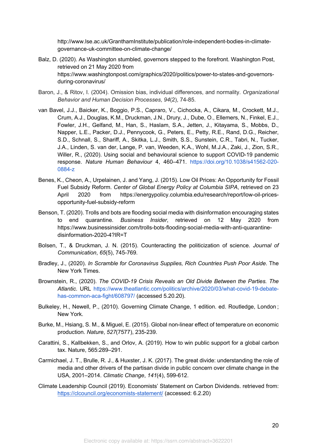http://www.lse.ac.uk/GranthamInstitute/publication/role-independent-bodies-in-climategovernance-uk-committee-on-climate-change/

- Balz, D. (2020). As Washington stumbled, governors stepped to the forefront. Washington Post, retrieved on 21 May 2020 from https://www.washingtonpost.com/graphics/2020/politics/power-to-states-and-governorsduring-coronavirus/
- Baron, J., & Ritov, I. (2004). Omission bias, individual differences, and normality. *Organizational Behavior and Human Decision Processes*, *94*(2), 74-85.
- van Bavel, J.J., Baicker, K., Boggio, P.S., Capraro, V., Cichocka, A., Cikara, M., Crockett, M.J., Crum, A.J., Douglas, K.M., Druckman, J.N., Drury, J., Dube, O., Ellemers, N., Finkel, E.J., Fowler, J.H., Gelfand, M., Han, S., Haslam, S.A., Jetten, J., Kitayama, S., Mobbs, D., Napper, L.E., Packer, D.J., Pennycook, G., Peters, E., Petty, R.E., Rand, D.G., Reicher, S.D., Schnall, S., Shariff, A., Skitka, L.J., Smith, S.S., Sunstein, C.R., Tabri, N., Tucker, J.A., Linden, S. van der, Lange, P. van, Weeden, K.A., Wohl, M.J.A., Zaki, J., Zion, S.R., Willer, R., (2020). Using social and behavioural science to support COVID-19 pandemic response. *Nature Human Behaviour* 4, 460–471. https://doi.org/10.1038/s41562-020- 0884-z
- Benes, K., Cheon, A., Urpelainen, J. and Yang, J. (2015). Low Oil Prices: An Opportunity for Fossil Fuel Subsidy Reform. *Center of Global Energy Policy at Columbia SIPA*, retrieved on 23 April 2020 from https://energypolicy.columbia.edu/research/report/low-oil-pricesopportunity-fuel-subsidy-reform
- Benson, T. (2020). Trolls and bots are flooding social media with disinformation encouraging states to end quarantine. *Business Insider*, retrieved on 12 May 2020 from https://www.businessinsider.com/trolls-bots-flooding-social-media-with-anti-quarantinedisinformation-2020-4?IR=T
- Bolsen, T., & Druckman, J. N. (2015). Counteracting the politicization of science. *Journal of Communication*, *65*(5), 745-769.
- Bradley, J., (2020). *In Scramble for Coronavirus Supplies, Rich Countries Push Poor Aside*. The New York Times.
- Brownstein, R., (2020). *The COVID-19 Crisis Reveals an Old Divide Between the Parties. The Atlantic*. URL https://www.theatlantic.com/politics/archive/2020/03/what-covid-19-debatehas-common-aca-fight/608797/ (accessed 5.20.20).
- Bulkeley, H., Newell, P., (2010). Governing Climate Change, 1 edition. ed. Routledge, London ; New York.
- Burke, M., Hsiang, S. M., & Miguel, E. (2015). Global non-linear effect of temperature on economic production. *Nature*, *527*(7577), 235-239.
- Carattini, S., Kallbekken, S., and Orlov, A. (2019). How to win public support for a global carbon tax. Nature, 565:289–291.
- Carmichael, J. T., Brulle, R. J., & Huxster, J. K. (2017). The great divide: understanding the role of media and other drivers of the partisan divide in public concern over climate change in the USA, 2001–2014. *Climatic Change*, *141*(4), 599-612.
- Climate Leadership Council (2019). Economists' Statement on Carbon Dividends. retrieved from: https://clcouncil.org/economists-statement/ (accessed: 6.2.20)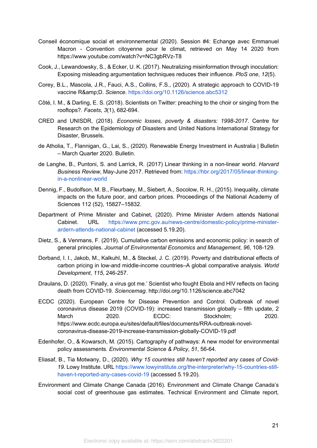- Conseil économique social et environnemental (2020). Session #4: Echange avec Emmanuel Macron - Convention citoyenne pour le climat, retrieved on May 14 2020 from https://www.youtube.com/watch?v=NC3gbRVz-T8
- Cook, J., Lewandowsky, S., & Ecker, U. K. (2017). Neutralizing misinformation through inoculation: Exposing misleading argumentation techniques reduces their influence. *PloS one*, *12*(5).
- Corey, B.L., Mascola, J.R., Fauci, A.S., Collins, F.S., (2020). A strategic approach to COVID-19 vaccine R&amp:D. Science. https://doi.org/10.1126/science.abc5312
- Côté, I. M., & Darling, E. S. (2018). Scientists on Twitter: preaching to the choir or singing from the rooftops?. *Facets*, *3*(1), 682-694.
- CRED and UNISDR, (2018). *Economic losses, poverty & disasters: 1998-2017*. Centre for Research on the Epidemiology of Disasters and United Nations International Strategy for Disaster, Brussels.
- de Atholia, T., Flannigan, G., Lai, S., (2020). Renewable Energy Investment in Australia | Bulletin – March Quarter 2020. Bulletin.
- de Langhe, B., Puntoni, S. and Larrick, R. (2017) Linear thinking in a non-linear world. *Harvard Business Review*, May-June 2017. Retrieved from: https://hbr.org/2017/05/linear-thinkingin-a-nonlinear-world
- Dennig, F., Budolfson, M. B., Fleurbaey, M., Siebert, A., Socolow, R. H., (2015). Inequality, climate impacts on the future poor, and carbon prices. Proceedings of the National Academy of Sciences 112 (52), 15827–15832.
- Department of Prime Minister and Cabinet, (2020). Prime Minister Ardern attends National Cabinet. URL https://www.pmc.gov.au/news-centre/domestic-policy/prime-ministerardern-attends-national-cabinet (accessed 5.19.20).
- Dietz, S., & Venmans, F. (2019). Cumulative carbon emissions and economic policy: in search of general principles. *Journal of Environmental Economics and Management*, *96*, 108-129.
- Dorband, I. I., Jakob, M., Kalkuhl, M., & Steckel, J. C. (2019). Poverty and distributional effects of carbon pricing in low-and middle-income countries–A global comparative analysis. *World Development*, *115*, 246-257.
- Draulans, D. (2020). 'Finally, a virus got me.' Scientist who fought Ebola and HIV reflects on facing death from COVID-19. *Sciencemag*. http://doi.org/10.1126/science.abc7042
- ECDC (2020). European Centre for Disease Prevention and Control. Outbreak of novel coronavirus disease 2019 (COVID-19): increased transmission globally – fifth update, 2 March 2020. ECDC: Stockholm; 2020. https://www.ecdc.europa.eu/sites/default/files/documents/RRA-outbreak-novelcoronavirus-disease-2019-increase-transmission-globally-COVID-19.pdf
- Edenhofer, O., & Kowarsch, M. (2015). Cartography of pathways: A new model for environmental policy assessments. *Environmental Science & Policy*, *51*, 56-64.
- Eliasaf, B., Tia Motwany, D., (2020). *Why 15 countries still haven't reported any cases of Covid-19*. Lowy Institute. URL https://www.lowyinstitute.org/the-interpreter/why-15-countries-stillhaven-t-reported-any-cases-covid-19 (accessed 5.19.20).
- Environment and Climate Change Canada (2016). Environment and Climate Change Canada's social cost of greenhouse gas estimates. Technical Environment and Climate report,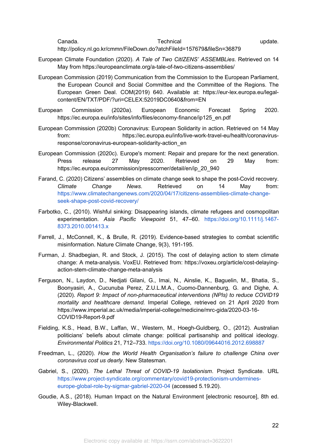Canada. Technical update. http://policy.nl.go.kr/cmmn/FileDown.do?atchFileId=157679&fileSn=36879

- European Climate Foundation (2020). *A Tale of Two CitIZENS' ASSEMBLies*. Retrieved on 14 May from https://europeanclimate.org/a-tale-of-two-citizens-assemblies/
- European Commission (2019) Communication from the Commission to the European Parliament, the European Council and Social Committee and the Committee of the Regions. The European Green Deal. COM(2019) 640. Available at: https://eur-lex.europa.eu/legalcontent/EN/TXT/PDF/?uri=CELEX:52019DC0640&from=EN
- European Commission (2020a). European Economic Forecast Spring 2020. https://ec.europa.eu/info/sites/info/files/economy-finance/ip125\_en.pdf
- European Commission (2020b) Coronavirus: European Solidarity in action. Retrieved on 14 May from: https://ec.europa.eu/info/live-work-travel-eu/health/coronavirusresponse/coronavirus-european-solidarity-action\_en
- European Commission (2020c). Europe's moment: Repair and prepare for the next generation. Press release 27 May 2020. Retrieved on 29 May from: https://ec.europa.eu/commission/presscorner/detail/en/ip\_20\_940
- Farand, C. (2020) Citizens' assemblies on climate change seek to shape the post-Covid recovery. *Climate Change News*. Retrieved on 14 May from: https://www.climatechangenews.com/2020/04/17/citizens-assemblies-climate-changeseek-shape-post-covid-recovery/
- Farbotko, C., (2010). Wishful sinking: Disappearing islands, climate refugees and cosmopolitan experimentation. *Asia Pacific Viewpoint* 51, 47–60. https://doi.org/10.1111/j.1467- 8373.2010.001413.x
- Farrell, J., McConnell, K., & Brulle, R. (2019). Evidence-based strategies to combat scientific misinformation. Nature Climate Change, 9(3), 191-195.
- Furman, J. Shadbegian, R. and Stock, J. (2015). The cost of delaying action to stem climate change: A meta-analysis. VoxEU. Retrieved from: https://voxeu.org/article/cost-delayingaction-stem-climate-change-meta-analysis
- Ferguson, N., Laydon, D., Nedjati Gilani, G., Imai, N., Ainslie, K., Baguelin, M., Bhatia, S., Boonyasiri, A., Cucunuba Perez, Z.U.L.M.A., Cuomo-Dannenburg, G. and Dighe, A. (2020). *Report 9: Impact of non-pharmaceutical interventions (NPIs) to reduce COVID19 mortality and healthcare demand.* Imperial College, retrieved on 21 April 2020 from https://www.imperial.ac.uk/media/imperial-college/medicine/mrc-gida/2020-03-16- COVID19-Report-9.pdf
- Fielding, K.S., Head, B.W., Laffan, W., Western, M., Hoegh-Guldberg, O., (2012). Australian politicians' beliefs about climate change: political partisanship and political ideology. *Environmental Politics* 21, 712–733. https://doi.org/10.1080/09644016.2012.698887
- Freedman, L., (2020). *How the World Health Organisation's failure to challenge China over coronavirus cost us dearly*. New Statesman.
- Gabriel, S., (2020). *The Lethal Threat of COVID-19 Isolationism*. Project Syndicate. URL https://www.project-syndicate.org/commentary/covid19-protectionism-undermineseurope-global-role-by-sigmar-gabriel-2020-04 (accessed 5.19.20).
- Goudie, A.S., (2018). Human Impact on the Natural Environment [electronic resource], 8th ed. Wiley-Blackwell.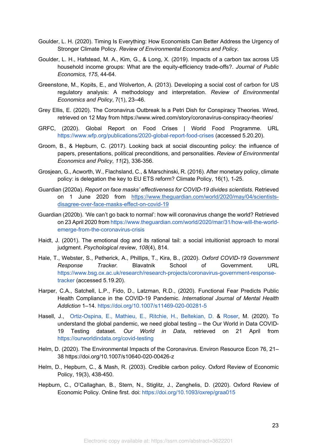- Goulder, L. H. (2020). Timing Is Everything: How Economists Can Better Address the Urgency of Stronger Climate Policy. *Review of Environmental Economics and Policy*.
- Goulder, L. H., Hafstead, M. A., Kim, G., & Long, X. (2019). Impacts of a carbon tax across US household income groups: What are the equity-efficiency trade-offs?. *Journal of Public Economics*, *175*, 44-64.
- Greenstone, M., Kopits, E., and Wolverton, A. (2013). Developing a social cost of carbon for US regulatory analysis: A methodology and interpretation. *Review of Environmental Economics and Policy*, 7(1), 23–46.
- Grey Ellis, E. (2020). The Coronavirus Outbreak Is a Petri Dish for Conspiracy Theories. Wired, retrieved on 12 May from https://www.wired.com/story/coronavirus-conspiracy-theories/
- GRFC, (2020). Global Report on Food Crises | World Food Programme. URL https://www.wfp.org/publications/2020-global-report-food-crises (accessed 5.20.20).
- Groom, B., & Hepburn, C. (2017). Looking back at social discounting policy: the influence of papers, presentations, political preconditions, and personalities. *Review of Environmental Economics and Policy*, *11*(2), 336-356.
- Grosjean, G., Acworth, W., Flachsland, C., & Marschinski, R. (2016). After monetary policy, climate policy: is delegation the key to EU ETS reform? Climate Policy, 16(1), 1-25.
- Guardian (2020a). *Report on face masks' effectiveness for COVID-19 divides scientists.* Retrieved on 1 June 2020 from https://www.theguardian.com/world/2020/may/04/scientistsdisagree-over-face-masks-effect-on-covid-19
- Guardian (2020b). 'We can't go back to normal': how will coronavirus change the world? Retrieved on 23 April 2020 from https://www.theguardian.com/world/2020/mar/31/how-will-the-worldemerge-from-the-coronavirus-crisis
- Haidt, J. (2001). The emotional dog and its rational tail: a social intuitionist approach to moral judgment. *Psychological review*, *108*(4), 814.
- Hale, T., Webster, S., Petherick, A., Phillips, T., Kira, B., (2020). *Oxford COVID-19 Government Response Tracker.* Blavatnik School of Government. URL https://www.bsg.ox.ac.uk/research/research-projects/coronavirus-government-responsetracker (accessed 5.19.20).
- Harper, C.A., Satchell, L.P., Fido, D., Latzman, R.D., (2020). Functional Fear Predicts Public Health Compliance in the COVID-19 Pandemic. *International Journal of Mental Health Addiction* 1–14. https://doi.org/10.1007/s11469-020-00281-5
- Hasell, J., Ortiz-Ospina, E., Mathieu, E., Ritchie, H., Beltekian, D. & Roser, M. (2020). To understand the global pandemic, we need global testing – the Our World in Data COVID-19 Testing dataset. *Our World in Data*, retrieved on 21 April from https://ourworldindata.org/covid-testing
- Helm, D. (2020). The Environmental Impacts of the Coronavirus. Environ Resource Econ 76, 21– 38 https://doi.org/10.1007/s10640-020-00426-z
- Helm, D., Hepburn, C., & Mash, R. (2003). Credible carbon policy. Oxford Review of Economic Policy, 19(3), 438-450.
- Hepburn, C., O'Callaghan, B., Stern, N., Stiglitz, J., Zenghelis, D. (2020). Oxford Review of Economic Policy. Online first. doi: https://doi.org/10.1093/oxrep/graa015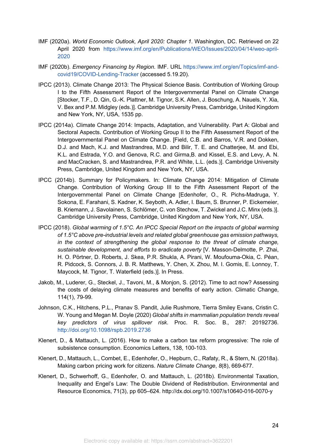- IMF (2020a). *World Economic Outlook, April 2020: Chapter 1*. Washington, DC. Retrieved on 22 April 2020 from https://www.imf.org/en/Publications/WEO/Issues/2020/04/14/weo-april-2020
- IMF (2020b). *Emergency Financing by Region*. IMF. URL https://www.imf.org/en/Topics/imf-andcovid19/COVID-Lending-Tracker (accessed 5.19.20).
- IPCC (2013). Climate Change 2013: The Physical Science Basis. Contribution of Working Group I to the Fifth Assessment Report of the Intergovernmental Panel on Climate Change [Stocker, T.F., D. Qin, G.-K. Plattner, M. Tignor, S.K. Allen, J. Boschung, A. Nauels, Y. Xia, V. Bex and P.M. Midgley (eds.)]. Cambridge University Press, Cambridge, United Kingdom and New York, NY, USA, 1535 pp.
- IPCC (2014a). Climate Change 2014: Impacts, Adaptation, and Vulnerability. Part A: Global and Sectoral Aspects. Contribution of Working Group II to the Fifth Assessment Report of the Intergovernmental Panel on Climate Change. [Field, C.B. and Barros, V.R. and Dokken, D.J. and Mach, K.J. and Mastrandrea, M.D. and Bilir, T. E. and Chatterjee, M. and Ebi, K.L. and Estrada, Y.O. and Genova, R.C. and Girma,B. and Kissel, E.S. and Levy, A. N. and MacCracken, S. and Mastrandrea, P.R. and White, L.L. (eds.)]. Cambridge University Press, Cambridge, United Kingdom and New York, NY, USA.
- IPCC (2014b). Summary for Policymakers. In: Climate Change 2014: Mitigation of Climate Change. Contribution of Working Group III to the Fifth Assessment Report of the Intergovernmental Panel on Climate Change [Edenhofer, O., R. Pichs-Madruga, Y. Sokona, E. Farahani, S. Kadner, K. Seyboth, A. Adler, I. Baum, S. Brunner, P. Eickemeier, B. Kriemann, J. Savolainen, S. Schlömer, C. von Stechow, T. Zwickel and J.C. Minx (eds.)]. Cambridge University Press, Cambridge, United Kingdom and New York, NY, USA.
- IPCC (2018). *Global warming of 1.5°C. An IPCC Special Report on the impacts of global warming of 1.5°C above pre-industrial levels and related global greenhouse gas emission pathways, in the context of strengthening the global response to the threat of climate change, sustainable development, and efforts to eradicate poverty* [V. Masson-Delmotte, P. Zhai, H. O. Pörtner, D. Roberts, J. Skea, P.R. Shukla, A. Pirani, W. Moufouma-Okia, C. Péan, R. Pidcock, S. Connors, J. B. R. Matthews, Y. Chen, X. Zhou, M. I. Gomis, E. Lonnoy, T. Maycock, M. Tignor, T. Waterfield (eds.)]. In Press.
- Jakob, M., Luderer, G., Steckel, J., Tavoni, M., & Monjon, S. (2012). Time to act now? Assessing the costs of delaying climate measures and benefits of early action. Climatic Change, 114(1), 79-99.
- Johnson, C.K., Hitchens, P.L., Pranav S. Pandit, Julie Rushmore, Tierra Smiley Evans, Cristin C. W. Young and Megan M. Doyle (2020) *Global shifts in mammalian population trends reveal key predictors of virus spillover risk*. Proc. R. Soc. B.*,* 287: 20192736. http://doi.org/10.1098/rspb.2019.2736
- Klenert, D., & Mattauch, L. (2016). How to make a carbon tax reform progressive: The role of subsistence consumption. Economics Letters, 138, 100-103.
- Klenert, D., Mattauch, L., Combet, E., Edenhofer, O., Hepburn, C., Rafaty, R., & Stern, N. (2018a). Making carbon pricing work for citizens. *Nature Climate Change*, *8*(8), 669-677.
- Klenert, D., Schwerhoff, G., Edenhofer, O. and Mattauch, L. (2018b). Environmental Taxation, Inequality and Engel's Law: The Double Dividend of Redistribution. Environmental and Resource Economics, 71(3), pp 605–624. http://dx.doi.org/10.1007/s10640-016-0070-y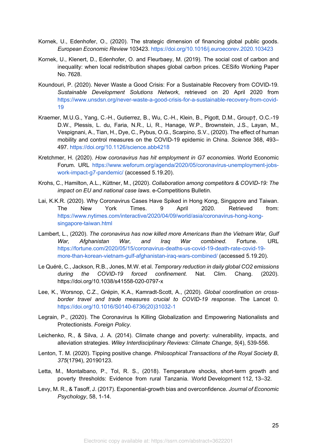- Kornek, U., Edenhofer, O., (2020). The strategic dimension of financing global public goods. *European Economic Review* 103423. https://doi.org/10.1016/j.euroecorev.2020.103423
- Kornek, U., Klenert, D., Edenhofer, O. and Fleurbaey, M. (2019). The social cost of carbon and inequality: when local redistribution shapes global carbon prices. CESifo Working Paper No. 7628.
- Koundouri, P. (2020). Never Waste a Good Crisis: For a Sustainable Recovery from COVID-19. *Sustainable Development Solutions Network*, retrieved on 20 April 2020 from https://www.unsdsn.org/never-waste-a-good-crisis-for-a-sustainable-recovery-from-covid-19
- Kraemer, M.U.G., Yang, C.-H., Gutierrez, B., Wu, C.-H., Klein, B., Pigott, D.M., Group†, O.C.-19 D.W., Plessis, L. du, Faria, N.R., Li, R., Hanage, W.P., Brownstein, J.S., Layan, M., Vespignani, A., Tian, H., Dye, C., Pybus, O.G., Scarpino, S.V., (2020). The effect of human mobility and control measures on the COVID-19 epidemic in China. *Science* 368, 493– 497. https://doi.org/10.1126/science.abb4218
- Kretchmer, H. (2020). *How coronavirus has hit employment in G7 economies*. World Economic Forum. URL https://www.weforum.org/agenda/2020/05/coronavirus-unemployment-jobswork-impact-g7-pandemic/ (accessed 5.19.20).
- Krohs, C., Hamilton, A.L., Küttner, M., (2020). *Collaboration among competitors & COVID-19: The impact on EU and national case laws*. e-Competitions Bulletin.
- Lai, K.K.R. (2020). Why Coronavirus Cases Have Spiked in Hong Kong, Singapore and Taiwan. The New York Times. 9 April 2020. Retrieved from: https://www.nytimes.com/interactive/2020/04/09/world/asia/coronavirus-hong-kongsingapore-taiwan.html
- Lambert, L., (2020). *The coronavirus has now killed more Americans than the Vietnam War, Gulf War, Afghanistan War, and Iraq War combined*. Fortune. URL https://fortune.com/2020/05/15/coronavirus-deaths-us-covid-19-death-rate-covid-19 more-than-korean-vietnam-gulf-afghanistan-iraq-wars-combined/ (accessed 5.19.20).
- Le Quéré, C., Jackson, R.B., Jones, M.W. et al. *Temporary reduction in daily global CO2 emissions during the COVID-19 forced confinement.* Nat. Clim. Chang. (2020). https://doi.org/10.1038/s41558-020-0797-x
- Lee, K., Worsnop, C.Z., Grépin, K.A., Kamradt-Scott, A., (2020). *Global coordination on crossborder travel and trade measures crucial to COVID-19 response*. The Lancet 0. https://doi.org/10.1016/S0140-6736(20)31032-1
- Legrain, P., (2020). The Coronavirus Is Killing Globalization and Empowering Nationalists and Protectionists. *Foreign Policy*.
- Leichenko, R., & Silva, J. A. (2014). Climate change and poverty: vulnerability, impacts, and alleviation strategies. *Wiley Interdisciplinary Reviews: Climate Change*, *5*(4), 539-556.
- Lenton, T. M. (2020). Tipping positive change. *Philosophical Transactions of the Royal Society B*, *375*(1794), 20190123.
- Letta, M., Montalbano, P., Tol, R. S., (2018). Temperature shocks, short-term growth and poverty thresholds: Evidence from rural Tanzania. World Development 112, 13–32.
- Levy, M. R., & Tasoff, J. (2017). Exponential-growth bias and overconfidence. *Journal of Economic Psychology*, 58, 1-14.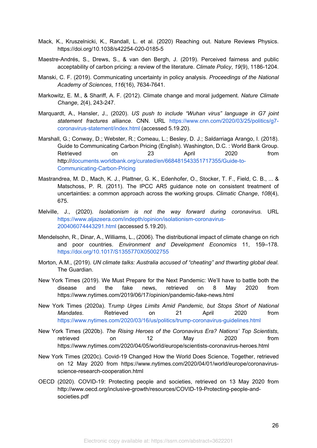- Mack, K., Kruszelnicki, K., Randall, L. et al. (2020) Reaching out. Nature Reviews Physics. https://doi.org/10.1038/s42254-020-0185-5
- Maestre-Andrés, S., Drews, S., & van den Bergh, J. (2019). Perceived fairness and public acceptability of carbon pricing: a review of the literature. *Climate Policy*, *19*(9), 1186-1204.
- Manski, C. F. (2019). Communicating uncertainty in policy analysis. *Proceedings of the National Academy of Sciences*, *116*(16), 7634-7641.
- Markowitz, E. M., & Shariff, A. F. (2012). Climate change and moral judgement. *Nature Climate Change*, *2*(4), 243-247.
- Marquardt, A., Hansler, J., (2020). *US push to include "Wuhan virus" language in G7 joint statement fractures alliance*. CNN. URL https://www.cnn.com/2020/03/25/politics/g7 coronavirus-statement/index.html (accessed 5.19.20).
- Marshall, G.; Conway, D.; Webster, R.; Comeau, L.; Besley, D. J.; Saldarriaga Arango, I. (2018). Guide to Communicating Carbon Pricing (English). Washington, D.C. : World Bank Group. Retrieved on 23 April 2020 from http://documents.worldbank.org/curated/en/668481543351717355/Guide-to-Communicating-Carbon-Pricing
- Mastrandrea, M. D., Mach, K. J., Plattner, G. K., Edenhofer, O., Stocker, T. F., Field, C. B., ... & Matschoss, P. R. (2011). The IPCC AR5 guidance note on consistent treatment of uncertainties: a common approach across the working groups. *Climatic Change*, *108*(4), 675.
- Melville, J., (2020). *Isolationism is not the way forward during coronavirus*. URL https://www.aljazeera.com/indepth/opinion/isolationism-coronavirus-200406074443291.html (accessed 5.19.20).
- Mendelsohn, R., Dinar, A., Williams, L., (2006). The distributional impact of climate change on rich and poor countries. *Environment and Development Economics* 11, 159–178. https://doi.org/10.1017/S1355770X05002755
- Morton, A.M., (2019). *UN climate talks: Australia accused of "cheating" and thwarting global deal*. The Guardian.
- New York Times (2019). We Must Prepare for the Next Pandemic: We'll have to battle both the disease and the fake news, retrieved on 8 May 2020 from https://www.nytimes.com/2019/06/17/opinion/pandemic-fake-news.html
- New York Times (2020a). T*rump Urges Limits Amid Pandemic, but Stops Short of National Mandates*. Retrieved on 21 April 2020 from https://www.nytimes.com/2020/03/16/us/politics/trump-coronavirus-guidelines.html
- New York Times (2020b). *The Rising Heroes of the Coronavirus Era? Nations' Top Scientists*, retrieved on 12 May 2020 from https://www.nytimes.com/2020/04/05/world/europe/scientists-coronavirus-heroes.html
- New York Times (2020c). Covid-19 Changed How the World Does Science, Together, retrieved on 12 May 2020 from https://www.nytimes.com/2020/04/01/world/europe/coronavirusscience-research-cooperation.html
- OECD (2020). COVID-19: Protecting people and societies, retrieved on 13 May 2020 from http://www.oecd.org/inclusive-growth/resources/COVID-19-Protecting-people-andsocieties.pdf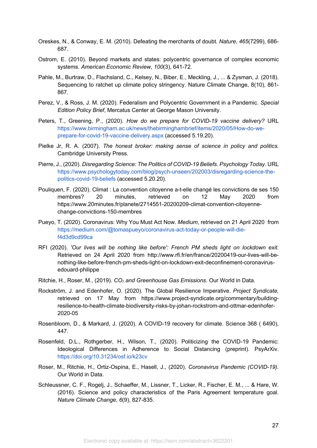- Oreskes, N., & Conway, E. M. (2010). Defeating the merchants of doubt. *Nature*, *465*(7299), 686- 687.
- Ostrom, E. (2010). Beyond markets and states: polycentric governance of complex economic systems. *American Economic Review*, *100*(3), 641-72.
- Pahle, M., Burtraw, D., Flachsland, C., Kelsey, N., Biber, E., Meckling, J., ... & Zysman, J. (2018). Sequencing to ratchet up climate policy stringency. Nature Climate Change, 8(10), 861- 867.
- Perez, V., & Ross, J. M. (2020). Federalism and Polycentric Government in a Pandemic. *Special Edition Policy Brief*, Mercatus Center at George Mason University.
- Peters, T., Greening, P., (2020). *How do we prepare for COVID-19 vaccine delivery?* URL https://www.birmingham.ac.uk/news/thebirminghambrief/items/2020/05/How-do-weprepare-for-covid-19-vaccine-delivery.aspx (accessed 5.19.20).
- Pielke Jr, R. A. (2007). *The honest broker: making sense of science in policy and politics*. Cambridge University Press.
- Pierre, J., (2020). *Disregarding Science: The Politics of COVID-19 Beliefs. Psychology Today*. URL https://www.psychologytoday.com/blog/psych-unseen/202003/disregarding-science-thepolitics-covid-19-beliefs (accessed 5.20.20).
- Pouliquen, F. (2020). Climat : La convention citoyenne a-t-elle changé les convictions de ses 150 membres? 20 minutes, retrieved on 12 May 2020 from https://www.20minutes.fr/planete/2714551-20200209-climat-convention-citoyennechange-convictions-150-membres
- Pueyo, T. (2020). Coronavirus: Why You Must Act Now. *Medium*, retrieved on 21 April 2020 from https://medium.com/@tomaspueyo/coronavirus-act-today-or-people-will-dief4d3d9cd99ca
- RFI (2020). *'Our lives will be nothing like before': French PM sheds light on lockdown exit.* Retrieved on 24 April 2020 from http://www.rfi.fr/en/france/20200419-our-lives-will-benothing-like-before-french-pm-sheds-light-on-lockdown-exit-deconfinement-coronavirusedouard-philippe
- Ritchie, H., Roser, M., (2019). *CO₂ and Greenhouse Gas Emissions*. Our World in Data.
- Rockström, J. and Edenhofer, O. (2020). The Global Resilience Imperative. *Project Syndicate,*  retrieved on 17 May from https://www.project-syndicate.org/commentary/buildingresilience-to-health-climate-biodiversity-risks-by-johan-rockstrom-and-ottmar-edenhofer-2020-05
- Rosenbloom, D., & Markard, J. (2020). A COVID-19 recovery for climate. Science 368 ( 6490), 447.
- Rosenfeld, D.L., Rothgerber, H., Wilson, T., (2020). Politicizing the COVID-19 Pandemic: Ideological Differences in Adherence to Social Distancing (preprint). PsyArXiv. https://doi.org/10.31234/osf.io/k23cv
- Roser, M., Ritchie, H., Ortiz-Ospina, E., Hasell, J., (2020). *Coronavirus Pandemic (COVID-19).*  Our World in Data.
- Schleussner, C. F., Rogelj, J., Schaeffer, M., Lissner, T., Licker, R., Fischer, E. M., ... & Hare, W. (2016). Science and policy characteristics of the Paris Agreement temperature goal. *Nature Climate Change*, *6*(9), 827-835.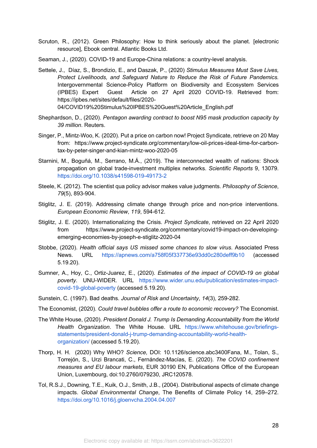- Scruton, R., (2012). Green Philosophy: How to think seriously about the planet. [electronic resource], Ebook central. Atlantic Books Ltd.
- Seaman, J., (2020). COVID-19 and Europe-China relations: a country-level analysis.
- Settele, J., Díaz, S., Brondizio, E., and Daszak, P., (2020) *Stimulus Measures Must Save Lives, Protect Livelihoods, and Safeguard Nature to Reduce the Risk of Future Pandemics.*  Intergovernmental Science-Policy Platform on Biodiversity and Ecosystem Services (IPBES) Expert Guest Article on 27 April 2020 COVID-19. Retrieved from: https://ipbes.net/sites/default/files/2020- 04/COVID19%20Stimulus%20IPBES%20Guest%20Article\_English.pdf
- Shephardson, D., (2020). *Pentagon awarding contract to boost N95 mask production capacity by*

*39 million*. Reuters.

- Singer, P., Mintz-Woo, K. (2020). Put a price on carbon now! Project Syndicate, retrieve on 20 May from: https://www.project-syndicate.org/commentary/low-oil-prices-ideal-time-for-carbontax-by-peter-singer-and-kian-mintz-woo-2020-05
- Starnini, M., Boguñá, M., Serrano, M.Á., (2019). The interconnected wealth of nations: Shock propagation on global trade-investment multiplex networks. *Scientific Reports* 9, 13079. https://doi.org/10.1038/s41598-019-49173-2
- Steele, K. (2012). The scientist qua policy advisor makes value judgments. *Philosophy of Science*, *79*(5), 893-904.
- Stiglitz, J. E. (2019). Addressing climate change through price and non-price interventions. *European Economic Review*, *119*, 594-612.
- Stiglitz, J. E. (2020). Internationalizing the Crisis. *Project Syndicate*, retrieved on 22 April 2020 from https://www.project-syndicate.org/commentary/covid19-impact-on-developingemerging-economies-by-joseph-e-stiglitz-2020-04
- Stobbe, (2020). *Health official says US missed some chances to slow virus*. Associated Press News. URL https://apnews.com/a758f05f337736e93dd0c280deff9b10 (accessed 5.19.20).
- Sumner, A., Hoy, C., Ortiz-Juarez, E., (2020). *Estimates of the impact of COVID-19 on global poverty*. UNU-WIDER. URL https://www.wider.unu.edu/publication/estimates-impactcovid-19-global-poverty (accessed 5.19.20).
- Sunstein, C. (1997). Bad deaths. *Journal of Risk and Uncertainty*, *14*(3), 259-282.
- The Economist, (2020). *Could travel bubbles offer a route to economic recovery?* The Economist.
- The White House, (2020). *President Donald J. Trump Is Demanding Accountability from the World Health Organization*. The White House. URL https://www.whitehouse.gov/briefingsstatements/president-donald-j-trump-demanding-accountability-world-healthorganization/ (accessed 5.19.20).
- Thorp, H. H. (2020) Why WHO? *Science,* DOI: 10.1126/science.abc3400Fana, M., Tolan, S., Torrejón, S., Urzi Brancati, C., Fernández-Macías, E. (2020). *The COVID confinement measures and EU labour markets*, EUR 30190 EN, Publications Office of the European Union, Luxembourg, doi:10.2760/079230, JRC120578.
- Tol, R.S.J., Downing, T.E., Kuik, O.J., Smith, J.B., (2004). Distributional aspects of climate change impacts. *Global Environmental Change*, The Benefits of Climate Policy 14, 259–272. https://doi.org/10.1016/j.gloenvcha.2004.04.007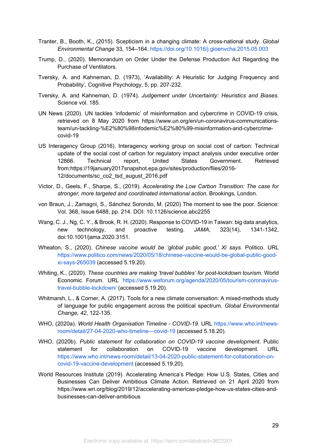- Tranter, B., Booth, K., (2015). Scepticism in a changing climate: A cross-national study. *Global Environmental Change* 33, 154–164. https://doi.org/10.1016/j.gloenvcha.2015.05.003
- Trump, D., (2020). Memorandum on Order Under the Defense Production Act Regarding the Purchase of Ventilators.
- Tversky, A. and Kahneman, D. (1973), 'Availability: A Heuristic for Judging Frequency and Probability', Cognitive Psychology, 5, pp. 207-232.
- Tversky, A. and Kahneman, D. (1974). *Judgement under Uncertainty: Heuristics and Biases.* Science vol. 185.
- UN News (2020). UN tackles 'infodemic' of misinformation and cybercrime in COVID-19 crisis, retrieved on 8 May 2020 from https://www.un.org/en/un-coronavirus-communicationsteam/un-tackling-%E2%80%98infodemic%E2%80%99-misinformation-and-cybercrimecovid-19
- US Interagency Group (2016). Interagency working group on social cost of carbon: Technical update of the social cost of carbon for regulatory impact analysis under executive order 12866. Technical report, United States Government. Retrieved from:https://19january2017snapshot.epa.gov/sites/production/files/2016- 12/documents/sc\_co2\_tsd\_august\_2016.pdf
- Victor, D., Geels, F., Sharpe, S., (2019). *Accelerating the Low Carbon Transition: The case for stronger, more targeted and coordinated international action*. Brookings, London.
- von Braun, J., Zamagni, S., Sánchez Sorondo, M. (2020) The moment to see the poor. Science: Vol. 368, Issue 6488, pp. 214. DOI: 10.1126/science.abc2255
- Wang, C. J., Ng, C. Y., & Brook, R. H. (2020). Response to COVID-19 in Taiwan: big data analytics, new technology, and proactive testing. *JAMA*, 323(14), 1341-1342, doi:10.1001/jama.2020.3151.
- Wheaton, S., (2020). *Chinese vaccine would be 'global public good,' Xi says*. Politico. URL https://www.politico.com/news/2020/05/18/chinese-vaccine-would-be-global-public-goodxi-says-265039 (accessed 5.19.20).
- Whiting, K., (2020). *These countries are making 'travel bubbles' for post-lockdown tourism*. World Economic Forum. URL https://www.weforum.org/agenda/2020/05/tourism-coronavirustravel-bubble-lockdown/ (accessed 5.19.20).
- Whitmarsh, L., & Corner, A. (2017). Tools for a new climate conversation: A mixed-methods study of language for public engagement across the political spectrum. *Global Environmental Change*, *42*, 122-135.
- WHO, (2020a). *World Health Organisation Timeline - COVID-19*. URL https://www.who.int/newsroom/detail/27-04-2020-who-timeline---covid-19 (accessed 5.18.20).
- WHO, (2020b). *Public statement for collaboration on COVID-19 vaccine development*. Public statement for collaboration on COVID-19 vaccine development. URL https://www.who.int/news-room/detail/13-04-2020-public-statement-for-collaboration-oncovid-19-vaccine-development (accessed 5.19.20).
- World Resources Institute (2019). Accelerating America's Pledge: How U.S. States, Cities and Businesses Can Deliver Ambitious Climate Action. Retrieved on 21 April 2020 from https://www.wri.org/blog/2019/12/accelerating-americas-pledge-how-us-states-cities-andbusinesses-can-deliver-ambitious